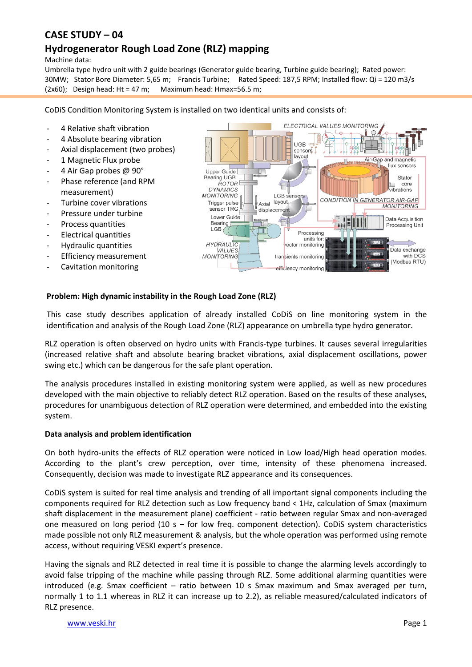# **CASE STUDY – 04**

# **Hydrogenerator Rough Load Zone (RLZ) mapping**

Machine data:

Umbrella type hydro unit with 2 guide bearings (Generator guide bearing, Turbine guide bearing); Rated power: 30MW; Stator Bore Diameter: 5,65 m; Francis Turbine; Rated Speed: 187,5 RPM; Installed flow: Qi = 120 m3/s  $(2x60)$ ; Design head: Ht = 47 m; Maximum head: Hmax=56.5 m;

CoDiS Condition Monitoring System is installed on two identical units and consists of:

- 4 Relative shaft vibration
- 4 Absolute bearing vibration
- Axial displacement (two probes)
- 1 Magnetic Flux probe
- 4 Air Gap probes @ 90°
- Phase reference (and RPM measurement)
- Turbine cover vibrations
- Pressure under turbine
- Process quantities
- Electrical quantities
- Hydraulic quantities
- Efficiency measurement
- Cavitation monitoring



### **Problem: High dynamic instability in the Rough Load Zone (RLZ)**

This case study describes application of already installed CoDiS on line monitoring system in the identification and analysis of the Rough Load Zone (RLZ) appearance on umbrella type hydro generator.

RLZ operation is often observed on hydro units with Francis-type turbines. It causes several irregularities (increased relative shaft and absolute bearing bracket vibrations, axial displacement oscillations, power swing etc.) which can be dangerous for the safe plant operation.

The analysis procedures installed in existing monitoring system were applied, as well as new procedures developed with the main objective to reliably detect RLZ operation. Based on the results of these analyses, procedures for unambiguous detection of RLZ operation were determined, and embedded into the existing system.

#### **Data analysis and problem identification**

On both hydro-units the effects of RLZ operation were noticed in Low load/High head operation modes. According to the plant's crew perception, over time, intensity of these phenomena increased. Consequently, decision was made to investigate RLZ appearance and its consequences.

CoDiS system is suited for real time analysis and trending of all important signal components including the components required for RLZ detection such as Low frequency band < 1Hz, calculation of Smax (maximum shaft displacement in the measurement plane) coefficient - ratio between regular Smax and non-averaged one measured on long period (10 s – for low freq. component detection). CoDiS system characteristics made possible not only RLZ measurement & analysis, but the whole operation was performed using remote access, without requiring VESKI expert's presence.

Having the signals and RLZ detected in real time it is possible to change the alarming levels accordingly to avoid false tripping of the machine while passing through RLZ. Some additional alarming quantities were introduced (e.g. Smax coefficient – ratio between 10 s Smax maximum and Smax averaged per turn, normally 1 to 1.1 whereas in RLZ it can increase up to 2.2), as reliable measured/calculated indicators of RLZ presence.